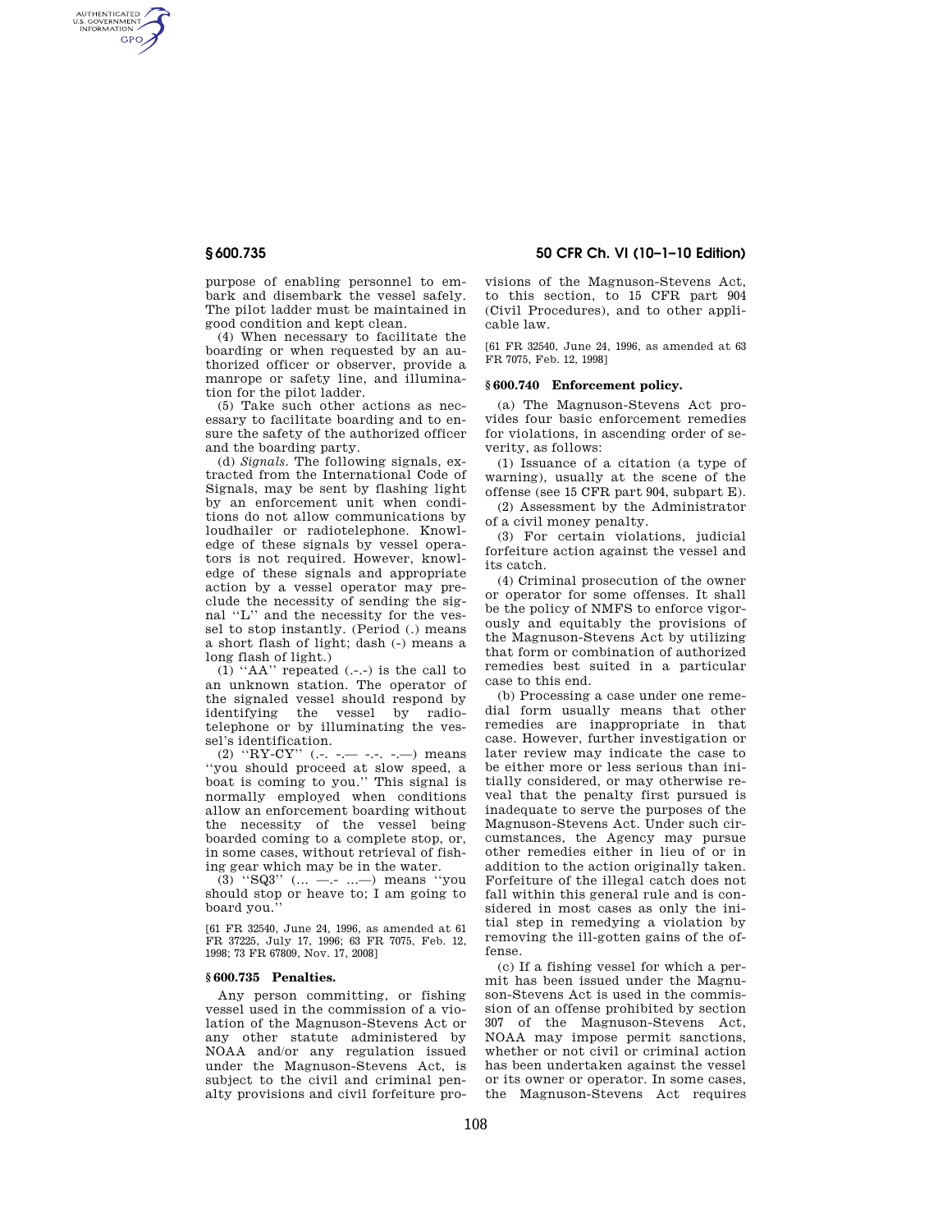AUTHENTICATED<br>U.S. GOVERNMENT<br>INFORMATION **GPO** 

> purpose of enabling personnel to embark and disembark the vessel safely. The pilot ladder must be maintained in good condition and kept clean.

> (4) When necessary to facilitate the boarding or when requested by an authorized officer or observer, provide a manrope or safety line, and illumination for the pilot ladder.

> (5) Take such other actions as necessary to facilitate boarding and to ensure the safety of the authorized officer and the boarding party.

(d) *Signals.* The following signals, extracted from the International Code of Signals, may be sent by flashing light by an enforcement unit when conditions do not allow communications by loudhailer or radiotelephone. Knowledge of these signals by vessel operators is not required. However, knowledge of these signals and appropriate action by a vessel operator may preclude the necessity of sending the signal ''L'' and the necessity for the vessel to stop instantly. (Period (.) means a short flash of light; dash (-) means a long flash of light.)

(1) ''AA'' repeated (.-.-) is the call to an unknown station. The operator of the signaled vessel should respond by identifying the vessel by radiotelephone or by illuminating the vessel's identification.

(2)  $"RY-CY" (-,-,-,-,-,-)$  means ''you should proceed at slow speed, a boat is coming to you.'' This signal is normally employed when conditions allow an enforcement boarding without the necessity of the vessel being boarded coming to a complete stop, or, in some cases, without retrieval of fishing gear which may be in the water.

(3) "SQ3" (... --- ...--) means "you should stop or heave to; I am going to board you.''

[61 FR 32540, June 24, 1996, as amended at 61 FR 37225, July 17, 1996; 63 FR 7075, Feb. 12, 1998; 73 FR 67809, Nov. 17, 2008]

## **§ 600.735 Penalties.**

Any person committing, or fishing vessel used in the commission of a violation of the Magnuson-Stevens Act or any other statute administered by NOAA and/or any regulation issued under the Magnuson-Stevens Act, is subject to the civil and criminal penalty provisions and civil forfeiture pro-

# **§ 600.735 50 CFR Ch. VI (10–1–10 Edition)**

visions of the Magnuson-Stevens Act, to this section, to 15 CFR part 904 (Civil Procedures), and to other applicable law.

[61 FR 32540, June 24, 1996, as amended at 63 FR 7075, Feb. 12, 1998]

## **§ 600.740 Enforcement policy.**

(a) The Magnuson-Stevens Act provides four basic enforcement remedies for violations, in ascending order of severity, as follows:

(1) Issuance of a citation (a type of warning), usually at the scene of the offense (see 15 CFR part 904, subpart E).

(2) Assessment by the Administrator of a civil money penalty.

(3) For certain violations, judicial forfeiture action against the vessel and its catch.

(4) Criminal prosecution of the owner or operator for some offenses. It shall be the policy of NMFS to enforce vigorously and equitably the provisions of the Magnuson-Stevens Act by utilizing that form or combination of authorized remedies best suited in a particular case to this end.

(b) Processing a case under one remedial form usually means that other remedies are inappropriate in that case. However, further investigation or later review may indicate the case to be either more or less serious than initially considered, or may otherwise reveal that the penalty first pursued is inadequate to serve the purposes of the Magnuson-Stevens Act. Under such circumstances, the Agency may pursue other remedies either in lieu of or in addition to the action originally taken. Forfeiture of the illegal catch does not fall within this general rule and is considered in most cases as only the initial step in remedying a violation by removing the ill-gotten gains of the offense.

(c) If a fishing vessel for which a permit has been issued under the Magnuson-Stevens Act is used in the commission of an offense prohibited by section 307 of the Magnuson-Stevens Act, NOAA may impose permit sanctions, whether or not civil or criminal action has been undertaken against the vessel or its owner or operator. In some cases, the Magnuson-Stevens Act requires